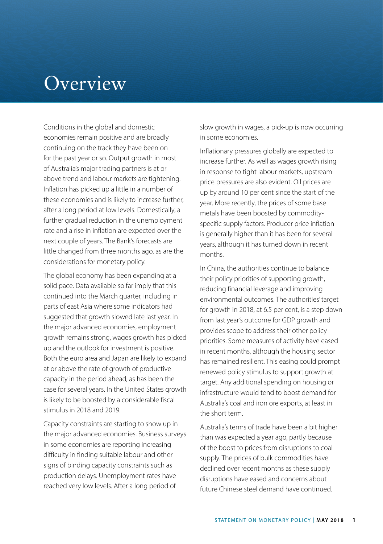## Overview

Conditions in the global and domestic economies remain positive and are broadly continuing on the track they have been on for the past year or so. Output growth in most of Australia's major trading partners is at or above trend and labour markets are tightening. Inflation has picked up a little in a number of these economies and is likely to increase further, after a long period at low levels. Domestically, a further gradual reduction in the unemployment rate and a rise in inflation are expected over the next couple of years. The Bank's forecasts are little changed from three months ago, as are the considerations for monetary policy.

The global economy has been expanding at a solid pace. Data available so far imply that this continued into the March quarter, including in parts of east Asia where some indicators had suggested that growth slowed late last year. In the major advanced economies, employment growth remains strong, wages growth has picked up and the outlook for investment is positive. Both the euro area and Japan are likely to expand at or above the rate of growth of productive capacity in the period ahead, as has been the case for several years. In the United States growth is likely to be boosted by a considerable fiscal stimulus in 2018 and 2019.

Capacity constraints are starting to show up in the major advanced economies. Business surveys in some economies are reporting increasing difficulty in finding suitable labour and other signs of binding capacity constraints such as production delays. Unemployment rates have reached very low levels. After a long period of

slow growth in wages, a pick-up is now occurring in some economies.

Inflationary pressures globally are expected to increase further. As well as wages growth rising in response to tight labour markets, upstream price pressures are also evident. Oil prices are up by around 10 per cent since the start of the year. More recently, the prices of some base metals have been boosted by commodityspecific supply factors. Producer price inflation is generally higher than it has been for several years, although it has turned down in recent months.

In China, the authorities continue to balance their policy priorities of supporting growth, reducing financial leverage and improving environmental outcomes. The authorities' target for growth in 2018, at 6.5 per cent, is a step down from last year's outcome for GDP growth and provides scope to address their other policy priorities. Some measures of activity have eased in recent months, although the housing sector has remained resilient. This easing could prompt renewed policy stimulus to support growth at target. Any additional spending on housing or infrastructure would tend to boost demand for Australia's coal and iron ore exports, at least in the short term.

Australia's terms of trade have been a bit higher than was expected a year ago, partly because of the boost to prices from disruptions to coal supply. The prices of bulk commodities have declined over recent months as these supply disruptions have eased and concerns about future Chinese steel demand have continued.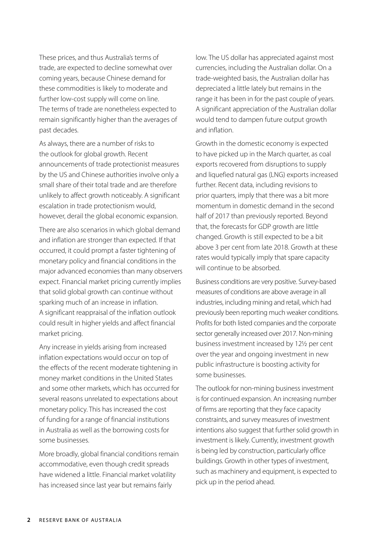These prices, and thus Australia's terms of trade, are expected to decline somewhat over coming years, because Chinese demand for these commodities is likely to moderate and further low-cost supply will come on line. The terms of trade are nonetheless expected to remain significantly higher than the averages of past decades.

As always, there are a number of risks to the outlook for global growth. Recent announcements of trade protectionist measures by the US and Chinese authorities involve only a small share of their total trade and are therefore unlikely to affect growth noticeably. A significant escalation in trade protectionism would, however, derail the global economic expansion.

There are also scenarios in which global demand and inflation are stronger than expected. If that occurred, it could prompt a faster tightening of monetary policy and financial conditions in the major advanced economies than many observers expect. Financial market pricing currently implies that solid global growth can continue without sparking much of an increase in inflation. A significant reappraisal of the inflation outlook could result in higher yields and affect financial market pricing.

Any increase in yields arising from increased inflation expectations would occur on top of the effects of the recent moderate tightening in money market conditions in the United States and some other markets, which has occurred for several reasons unrelated to expectations about monetary policy. This has increased the cost of funding for a range of financial institutions in Australia as well as the borrowing costs for some businesses.

More broadly, global financial conditions remain accommodative, even though credit spreads have widened a little. Financial market volatility has increased since last year but remains fairly

low. The US dollar has appreciated against most currencies, including the Australian dollar. On a trade-weighted basis, the Australian dollar has depreciated a little lately but remains in the range it has been in for the past couple of years. A significant appreciation of the Australian dollar would tend to dampen future output growth and inflation.

Growth in the domestic economy is expected to have picked up in the March quarter, as coal exports recovered from disruptions to supply and liquefied natural gas (LNG) exports increased further. Recent data, including revisions to prior quarters, imply that there was a bit more momentum in domestic demand in the second half of 2017 than previously reported. Beyond that, the forecasts for GDP growth are little changed. Growth is still expected to be a bit above 3 per cent from late 2018. Growth at these rates would typically imply that spare capacity will continue to be absorbed.

Business conditions are very positive. Survey-based measures of conditions are above average in all industries, including mining and retail, which had previously been reporting much weaker conditions. Profits for both listed companies and the corporate sector generally increased over 2017. Non-mining business investment increased by 12½ per cent over the year and ongoing investment in new public infrastructure is boosting activity for some businesses.

The outlook for non-mining business investment is for continued expansion. An increasing number of firms are reporting that they face capacity constraints, and survey measures of investment intentions also suggest that further solid growth in investment is likely. Currently, investment growth is being led by construction, particularly office buildings. Growth in other types of investment, such as machinery and equipment, is expected to pick up in the period ahead.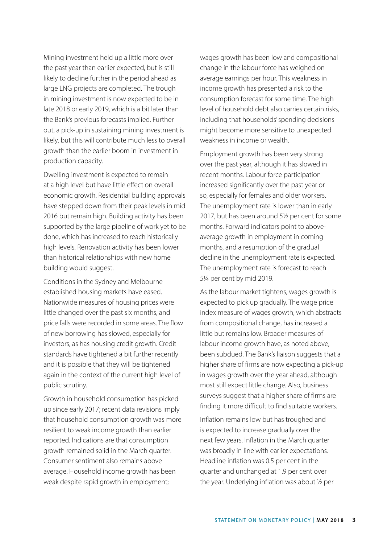Mining investment held up a little more over the past year than earlier expected, but is still likely to decline further in the period ahead as large LNG projects are completed. The trough in mining investment is now expected to be in late 2018 or early 2019, which is a bit later than the Bank's previous forecasts implied. Further out, a pick-up in sustaining mining investment is likely, but this will contribute much less to overall growth than the earlier boom in investment in production capacity.

Dwelling investment is expected to remain at a high level but have little effect on overall economic growth. Residential building approvals have stepped down from their peak levels in mid 2016 but remain high. Building activity has been supported by the large pipeline of work yet to be done, which has increased to reach historically high levels. Renovation activity has been lower than historical relationships with new home building would suggest.

Conditions in the Sydney and Melbourne established housing markets have eased. Nationwide measures of housing prices were little changed over the past six months, and price falls were recorded in some areas. The flow of new borrowing has slowed, especially for investors, as has housing credit growth. Credit standards have tightened a bit further recently and it is possible that they will be tightened again in the context of the current high level of public scrutiny.

Growth in household consumption has picked up since early 2017; recent data revisions imply that household consumption growth was more resilient to weak income growth than earlier reported. Indications are that consumption growth remained solid in the March quarter. Consumer sentiment also remains above average. Household income growth has been weak despite rapid growth in employment;

wages growth has been low and compositional change in the labour force has weighed on average earnings per hour. This weakness in income growth has presented a risk to the consumption forecast for some time. The high level of household debt also carries certain risks, including that households' spending decisions might become more sensitive to unexpected weakness in income or wealth.

Employment growth has been very strong over the past year, although it has slowed in recent months. Labour force participation increased significantly over the past year or so, especially for females and older workers. The unemployment rate is lower than in early 2017, but has been around 5½ per cent for some months. Forward indicators point to aboveaverage growth in employment in coming months, and a resumption of the gradual decline in the unemployment rate is expected. The unemployment rate is forecast to reach 5¼ per cent by mid 2019.

As the labour market tightens, wages growth is expected to pick up gradually. The wage price index measure of wages growth, which abstracts from compositional change, has increased a little but remains low. Broader measures of labour income growth have, as noted above, been subdued. The Bank's liaison suggests that a higher share of firms are now expecting a pick-up in wages growth over the year ahead, although most still expect little change. Also, business surveys suggest that a higher share of firms are finding it more difficult to find suitable workers.

Inflation remains low but has troughed and is expected to increase gradually over the next few years. Inflation in the March quarter was broadly in line with earlier expectations. Headline inflation was 0.5 per cent in the quarter and unchanged at 1.9 per cent over the year. Underlying inflation was about ½ per